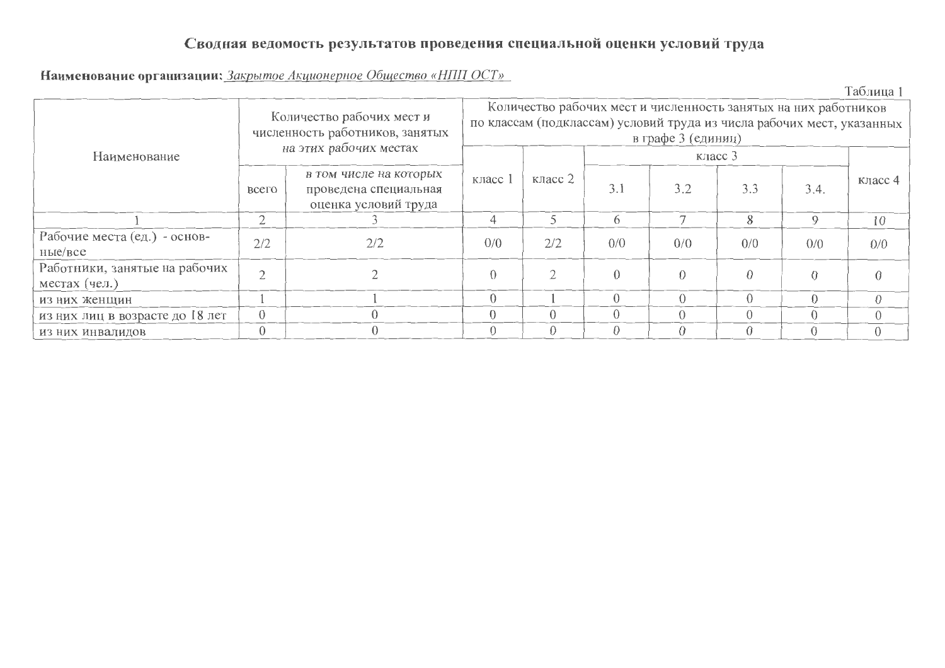## Сводная ведомость результатов проведения специальной оценки условий труда

Наименование организации: Закрытое Акционерное Общество «НПП ОСТ»

|                                                |                                                              |                                                                         |                                                                                                                                                                 |          |     |          |          |             | Таблица 1 |  |  |  |
|------------------------------------------------|--------------------------------------------------------------|-------------------------------------------------------------------------|-----------------------------------------------------------------------------------------------------------------------------------------------------------------|----------|-----|----------|----------|-------------|-----------|--|--|--|
|                                                | Количество рабочих мест и<br>численность работников, занятых |                                                                         | Количество рабочих мест и численность занятых на них работников<br>по классам (подклассам) условий труда из числа рабочих мест, указанных<br>в графе 3 (единиц) |          |     |          |          |             |           |  |  |  |
| Наименование                                   |                                                              | на этих рабочих местах                                                  |                                                                                                                                                                 |          |     |          |          |             |           |  |  |  |
|                                                | всего                                                        | в том числе на которых<br>проведена специальная<br>оценка условий труда | класс 1                                                                                                                                                         | класс 2  | 3.1 | 3.2      | 3.3      | 3.4.        | класс 4   |  |  |  |
|                                                | $\overline{2}$                                               |                                                                         | 4                                                                                                                                                               | 5        | 6   |          | 8        | $\mathbf Q$ | 10        |  |  |  |
| Рабочие места (ед.) - основ-<br>ные/все        | 2/2                                                          | 2/2                                                                     | 0/0                                                                                                                                                             | 2/2      | 0/0 | 0/0      | 0/0      | 0/0         | 0/0       |  |  |  |
| Работники, занятые на рабочих<br>местах (чел.) | $\bigcap$                                                    |                                                                         | $\Omega$                                                                                                                                                        | $\gamma$ |     | $\Omega$ | $\Omega$ |             |           |  |  |  |
| из них женщин                                  |                                                              |                                                                         | $\Omega$                                                                                                                                                        |          |     |          | $\Omega$ |             | $\Omega$  |  |  |  |
| из них лиц в возрасте до 18 лет                | $\theta$                                                     |                                                                         | $\Omega$                                                                                                                                                        | $\Omega$ |     |          | $\Omega$ |             | $\Omega$  |  |  |  |
| ИЗ НИХ ИНВАЛИДОВ                               |                                                              |                                                                         |                                                                                                                                                                 | $\Omega$ |     |          |          |             |           |  |  |  |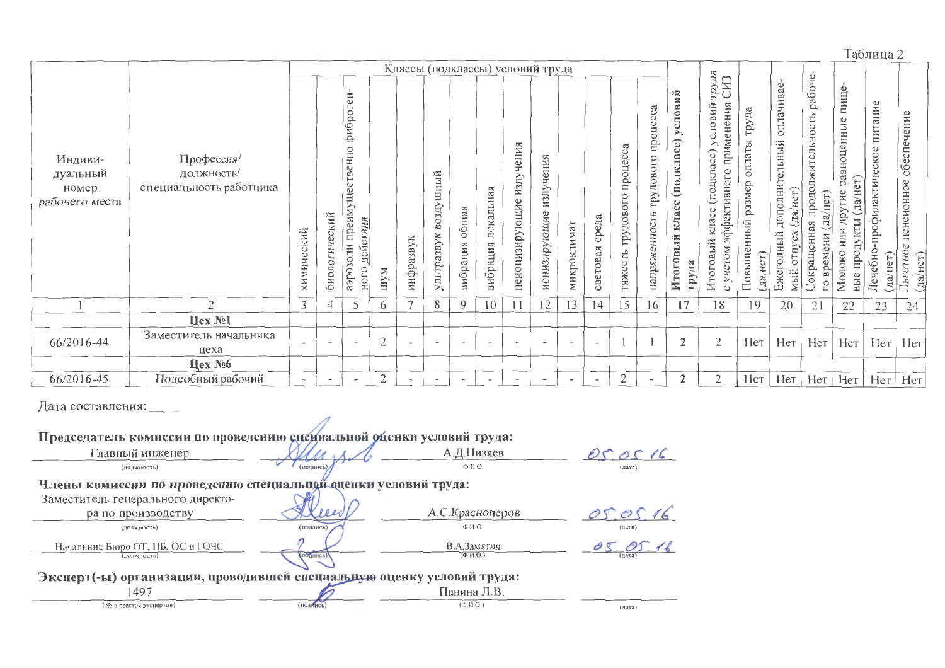Таблица 2

|                                                |                                                     |                          |                          |                                                                                  |                | Классы (подклассы) условий труда |                          |                          |                          |                                 |                               |                          |                          |                                  |                                                      |                                                                                    |                                                                                                                                  |                                                      |                                                                                      |                                                        |                                                                                 |                                                    |                                                   |
|------------------------------------------------|-----------------------------------------------------|--------------------------|--------------------------|----------------------------------------------------------------------------------|----------------|----------------------------------|--------------------------|--------------------------|--------------------------|---------------------------------|-------------------------------|--------------------------|--------------------------|----------------------------------|------------------------------------------------------|------------------------------------------------------------------------------------|----------------------------------------------------------------------------------------------------------------------------------|------------------------------------------------------|--------------------------------------------------------------------------------------|--------------------------------------------------------|---------------------------------------------------------------------------------|----------------------------------------------------|---------------------------------------------------|
| Индиви-<br>дуальный<br>номер<br>рабочего места | Профессия/<br>должность/<br>специальность работника | химический               | биологический            | ÷<br>фиброг<br>Щественно<br>преиму<br><u>цействия</u><br>аэрозоли<br><b>HOLO</b> | мАт            | инфразвук                        | воздушный<br>ультразвук  | общая<br>вибрация        | локальная<br>вибрация    | чения<br>излу<br>неионизирующие | чения<br>излу<br>ионизирующие | микроклимат              | среда<br>световая        | процесса<br>трудового<br>гяжесть | процесса<br>$\circ$<br>довог<br>ŗру<br>напряженность | ň<br>слови<br>≻<br>$\widehat{\mathbf{c}}$<br>(подкла<br>класс<br>Итоговый<br>труда | труда<br>СИЗ<br>rpy.<br>применения<br>словий<br>(подкласс<br>ивного<br>эффект<br>KJJaCC<br>й<br>ОВЫ<br>учетом<br>Итог<br>$\circ$ | труда<br>оплаты<br>размер<br>Повышенный<br>(Aa, HcT) | оплачивае<br>дополнительный<br>HET<br>ла/<br>ДНЫЙ<br><b>OTIT</b><br>0<br>Ежег<br>мый | рабоче-<br>продолжительность<br>окращенная<br>Вp<br>P. | пище-<br>равноценные<br>другие<br>Ξ<br>да/<br>5<br>ИЛИ<br>Молоко<br>npo,<br>вые | питание<br>профилактическое<br>Лечебно<br>(aa/Her) | обеспечение<br>пенсионное<br>Льготное<br>(да/нет) |
|                                                | $\overline{2}$                                      | 3 <sup>1</sup>           | 4                        | 5                                                                                | 6              | $\overline{7}$                   | 8                        | 9                        | 10                       | 11                              | 12                            | 13                       | 14                       | 15                               | 16                                                   | 17                                                                                 | 18                                                                                                                               | 19                                                   | 20                                                                                   | 21                                                     | 22                                                                              | 23                                                 | 24                                                |
|                                                | Цех №1                                              |                          |                          |                                                                                  |                |                                  |                          |                          |                          |                                 |                               |                          |                          |                                  |                                                      |                                                                                    |                                                                                                                                  |                                                      |                                                                                      |                                                        |                                                                                 |                                                    |                                                   |
| 66/2016-44                                     | Заместитель начальника<br>цеха                      | $\overline{\phantom{a}}$ |                          | $\overline{\phantom{a}}$                                                         | $\mathfrak{2}$ | $\overline{\phantom{m}}$         | $\overline{\phantom{a}}$ | $\overline{\phantom{a}}$ | $\overline{\phantom{a}}$ | $\overline{\phantom{0}}$        | $\,$ $\,$                     | $\overline{\phantom{a}}$ | $\overline{\phantom{a}}$ |                                  |                                                      | $\overline{2}$                                                                     | $\mathfrak{2}$                                                                                                                   | Нет                                                  | Hет                                                                                  | Нет                                                    | Her                                                                             | Her                                                | Her                                               |
|                                                | Цех № $6$                                           |                          |                          |                                                                                  |                |                                  |                          |                          |                          |                                 |                               |                          |                          |                                  |                                                      |                                                                                    |                                                                                                                                  |                                                      |                                                                                      |                                                        |                                                                                 |                                                    |                                                   |
| 66/2016-45                                     | Подсобный рабочий                                   | $\overline{\phantom{a}}$ | $\overline{\phantom{a}}$ | $\overline{\phantom{a}}$                                                         | $\mathbf{2}$   | $\overline{\phantom{0}}$         | $\overline{\phantom{a}}$ | $\overline{\phantom{a}}$ | $\overline{\phantom{a}}$ | $\overline{\phantom{a}}$        | $\overline{\phantom{a}}$      | $\overline{\phantom{a}}$ | $\overline{\phantom{a}}$ | $\overline{2}$                   | $\overline{\phantom{a}}$                             | $\overline{2}$                                                                     | $\overline{2}$                                                                                                                   | Her                                                  | Her                                                                                  | Нет                                                    | Her                                                                             | Her                                                | Нет                                               |

## Дата составления:

Председатель комиссии по проведению специальной оценки условий труда: Главный инженер А.Д.Низяев  $05.0516$ (подпись) (должность)  $\Phi$  И.О.  $\ell_{\rm (M272)}$ Члены комиссии по проведению специальной оценки условий труда: Заместитель генерального директо-А.С.Красноперов  $05016$ ра по производству  $PPR$  $\Phi$ .  $M$  O (должность) (подпись)  $\left\lfloor \mu a\right\rfloor d$  $\overline{a}$  $05.05.16$ Начальник Бюро ОТ, ПБ, ОС и ГОЧС В.А.Замятин COMPUCH  $(\Phi$  H.O.) Эксперт(-ы) организации, проводившей специальную ощенку условий труда: 1497 Панина Л.В. (подпись) (№ в реестре экспертов)  $(\Phi.M.O)$ (дата)